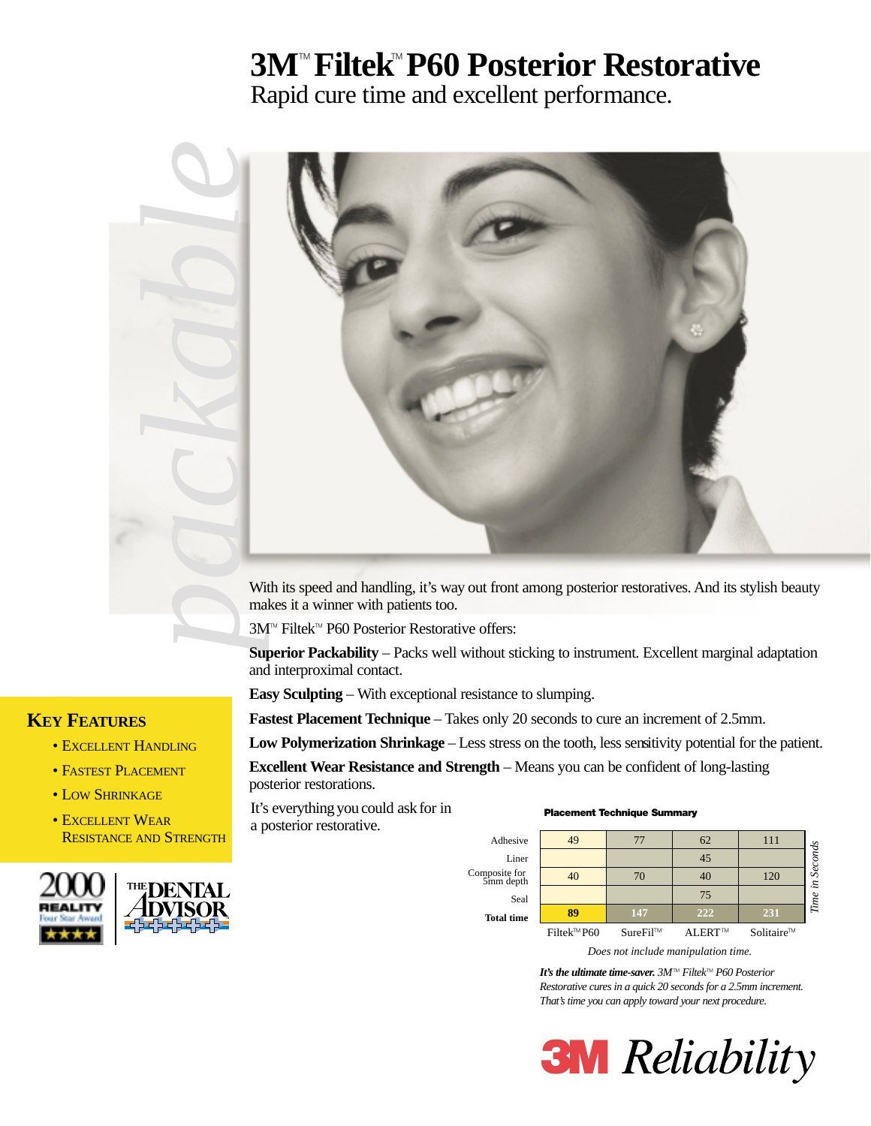## **3M<sup>™</sup> Filtek<sup>™</sup> P60 Posterior Restorative**

Rapid cure time and excellent performance.



makes it a winner with patients too.

3M<sup>™</sup> Filtek<sup>™</sup> P60 Posterior Restorative offers:

**Superior Packability** – Packs well without sticking to instrument. Excellent marginal adaptation and interproximal contact.

**Easy Sculpting** – With exceptional resistance to slumping.

**Fastest Placement Technique** – Takes only 20 seconds to cure an increment of 2.5mm.

**Low Polymerization Shrinkage** – Less stress on the tooth, less sensitivity potential for the patient.

**Excellent Wear Resistance and Strength** – Means you can be confident of long-lasting posterior restorations.

It's everything you could ask for in **Placement Technique Summary** a posterior restorative.



#### *Does not include manipulation time.*

*It's the ultimate time-saver. 3M™ Filtek™ P60 Posterior Restorative cures in a quick 20 seconds for a 2.5mm increment. That's time you can apply toward your next procedure.*

**3M** Reliability

#### **KEY FEATURES**

- EXCELLENT HANDLING
- FASTEST PLACEMENT
- LOW SHRINKAGE
- EXCELLENT WEAR RESISTANCE AND STRENGTH